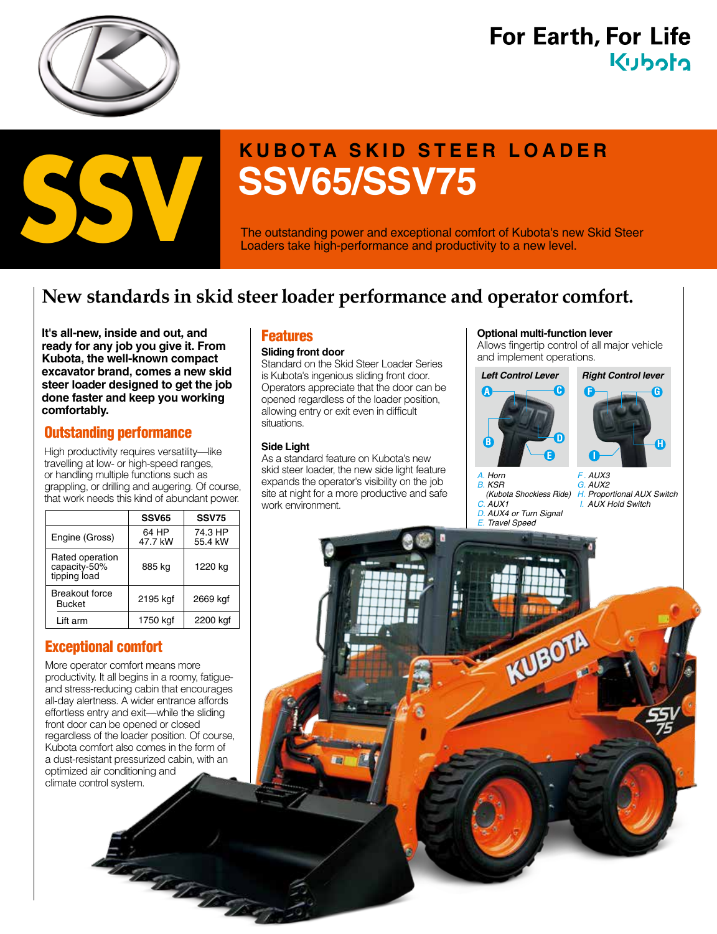

# **For Earth, For Life** Kuboto



# **KUBOTA SKID STEER LOADER**<br>SSV65/SSV75

The outstanding power and exceptional comfort of Kubota's new Skid Steer Loaders take high-performance and productivity to a new level.

# **New standards in skid steer loader performance and operator comfort.**

**It's all-new, inside and out, and ready for any job you give it. From Kubota, the well-known compact excavator brand, comes a new skid steer loader designed to get the job done faster and keep you working comfortably.**

## Outstanding performance

High productivity requires versatility—like travelling at low- or high-speed ranges, or handling multiple functions such as grappling, or drilling and augering. Of course, that work needs this kind of abundant power.

|                                                 | <b>SSV65</b>     | <b>SSV75</b>       |
|-------------------------------------------------|------------------|--------------------|
| Engine (Gross)                                  | 64 HP<br>47.7 kW | 74.3 HP<br>55.4 kW |
| Rated operation<br>capacity-50%<br>tipping load | 885 kg           | 1220 kg            |
| <b>Breakout force</b><br><b>Bucket</b>          | 2195 kgf         | 2669 kgf           |
| Lift arm                                        | 1750 kgf         | 2200 kgf           |

## Exceptional comfort

More operator comfort means more productivity. It all begins in a roomy, fatigueand stress-reducing cabin that encourages all-day alertness. A wider entrance affords effortless entry and exit—while the sliding front door can be opened or closed regardless of the loader position. Of course, Kubota comfort also comes in the form of a dust-resistant pressurized cabin, with an optimized air conditioning and climate control system.

The Contractor

## **Features**

#### **Sliding front door**

Standard on the Skid Steer Loader Series is Kubota's ingenious sliding front door. Operators appreciate that the door can be opened regardless of the loader position, allowing entry or exit even in difficult situations.

#### **Side Light**

As a standard feature on Kubota's new skid steer loader, the new side light feature expands the operator's visibility on the job site at night for a more productive and safe work environment.

#### **Optional multi-function lever**

Allows fingertip control of all major vehicle and implement operations.





*A. Horn B. KSR (Kubota Shockless Ride) C. AUX1 D. AUX4 or Turn Signal E. Travel Speed*

KUBOTA

*F . AUX3 G. AUX2 H. Proportional AUX Switch I. AUX Hold Switch*